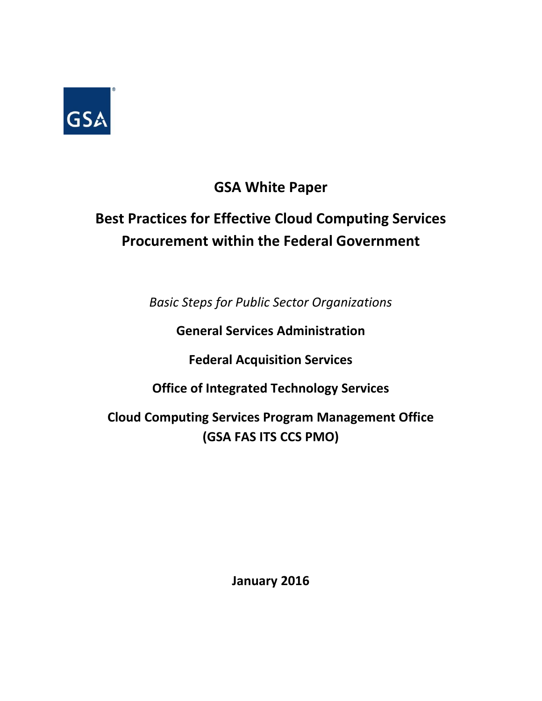

## **GSA White Paper**

# **Best Practices for Effective Cloud Computing Services Procurement within the Federal Government**

*Basic Steps for Public Sector Organizations*

**General Services Administration**

**Federal Acquisition Services**

**Office of Integrated Technology Services**

**Cloud Computing Services Program Management Office (GSA FAS ITS CCS PMO)**

**January 2016**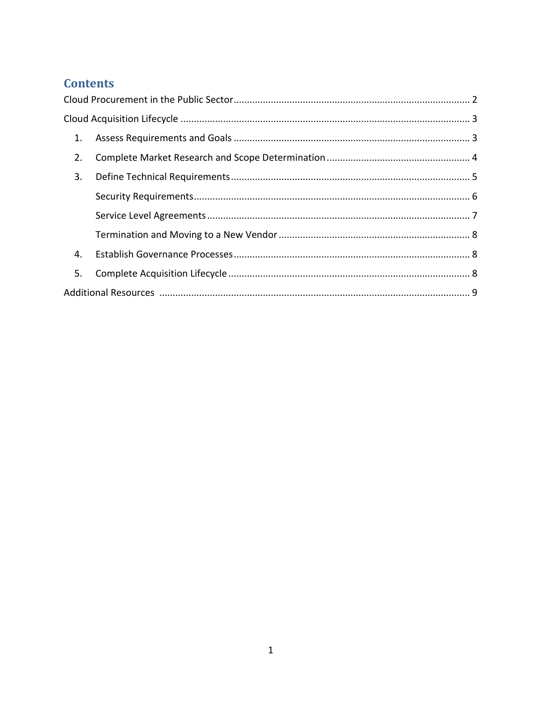## **Contents**

| 1. |  |  |
|----|--|--|
| 2. |  |  |
| 3. |  |  |
|    |  |  |
|    |  |  |
|    |  |  |
| 4. |  |  |
| 5. |  |  |
|    |  |  |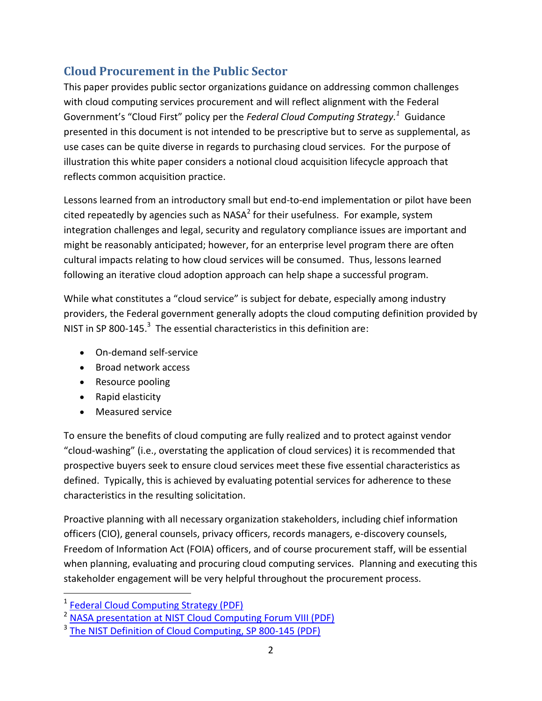## <span id="page-2-0"></span>**Cloud Procurement in the Public Sector**

This paper provides public sector organizations guidance on addressing common challenges with cloud computing services procurement and will reflect alignment with the Federal Government's "Cloud First" policy per the *Federal Cloud Computing Strategy. <sup>1</sup>* Guidance presented in this document is not intended to be prescriptive but to serve as supplemental, as use cases can be quite diverse in regards to purchasing cloud services. For the purpose of illustration this white paper considers a notional cloud acquisition lifecycle approach that reflects common acquisition practice.

Lessons learned from an introductory small but end-to-end implementation or pilot have been cited repeatedly by agencies such as NASA<sup>2</sup> for their usefulness. For example, system integration challenges and legal, security and regulatory compliance issues are important and might be reasonably anticipated; however, for an enterprise level program there are often cultural impacts relating to how cloud services will be consumed. Thus, lessons learned following an iterative cloud adoption approach can help shape a successful program.

While what constitutes a "cloud service" is subject for debate, especially among industry providers, the Federal government generally adopts the cloud computing definition provided by NIST in SP 800-145. $3$  The essential characteristics in this definition are:

- On-demand self-service
- Broad network access
- Resource pooling
- Rapid elasticity
- Measured service

To ensure the benefits of cloud computing are fully realized and to protect against vendor "cloud-washing" (i.e., overstating the application of cloud services) it is recommended that prospective buyers seek to ensure cloud services meet these five essential characteristics as defined. Typically, this is achieved by evaluating potential services for adherence to these characteristics in the resulting solicitation.

Proactive planning with all necessary organization stakeholders, including chief information officers (CIO), general counsels, privacy officers, records managers, e-discovery counsels, Freedom of Information Act (FOIA) officers, and of course procurement staff, will be essential when planning, evaluating and procuring cloud computing services. Planning and executing this stakeholder engagement will be very helpful throughout the procurement process.

<sup>&</sup>lt;sup>1</sup> [Federal Cloud Computing Strategy \(PDF\)](http://www.whitehouse.gov/sites/default/files/omb/assets/egov_docs/federal-cloud-computing-strategy.pdf)

<sup>&</sup>lt;sup>2</sup> [NASA presentation at NIST Cloud Computing Forum VIII \(PDF\)](http://collaborate.nist.gov/twiki-cloud-computing/pub/CloudComputing/ForumVIIIAgenda/4-1100-plenary1-3-NIST_cloud_acquisition_briefingv2.pdf)

<sup>&</sup>lt;sup>3</sup> [The NIST Definition of Cloud Computing, SP 800-145](http://csrc.nist.gov/publications/nistpubs/800-145/SP800-145.pdf) (PDF)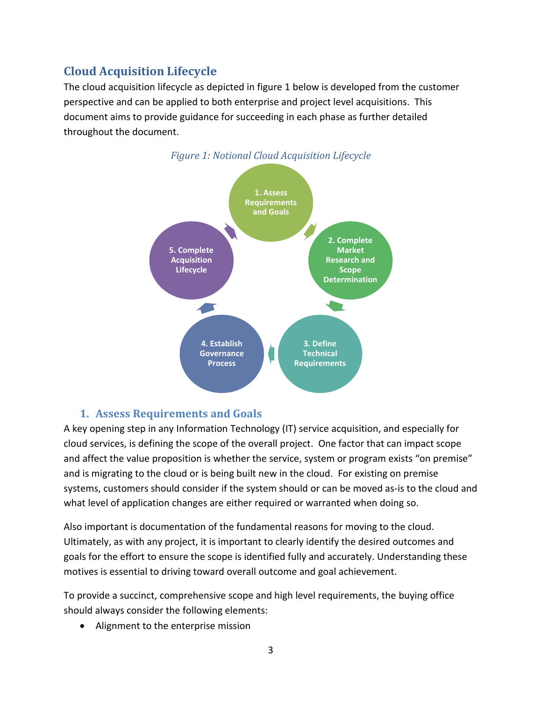## <span id="page-3-0"></span>**Cloud Acquisition Lifecycle**

The cloud acquisition lifecycle as depicted in figure 1 below is developed from the customer perspective and can be applied to both enterprise and project level acquisitions. This document aims to provide guidance for succeeding in each phase as further detailed throughout the document.



#### **1. Assess Requirements and Goals**

<span id="page-3-1"></span>A key opening step in any Information Technology (IT) service acquisition, and especially for cloud services, is defining the scope of the overall project. One factor that can impact scope and affect the value proposition is whether the service, system or program exists "on premise" and is migrating to the cloud or is being built new in the cloud. For existing on premise systems, customers should consider if the system should or can be moved as-is to the cloud and what level of application changes are either required or warranted when doing so.

Also important is documentation of the fundamental reasons for moving to the cloud. Ultimately, as with any project, it is important to clearly identify the desired outcomes and goals for the effort to ensure the scope is identified fully and accurately. Understanding these motives is essential to driving toward overall outcome and goal achievement.

To provide a succinct, comprehensive scope and high level requirements, the buying office should always consider the following elements:

• Alignment to the enterprise mission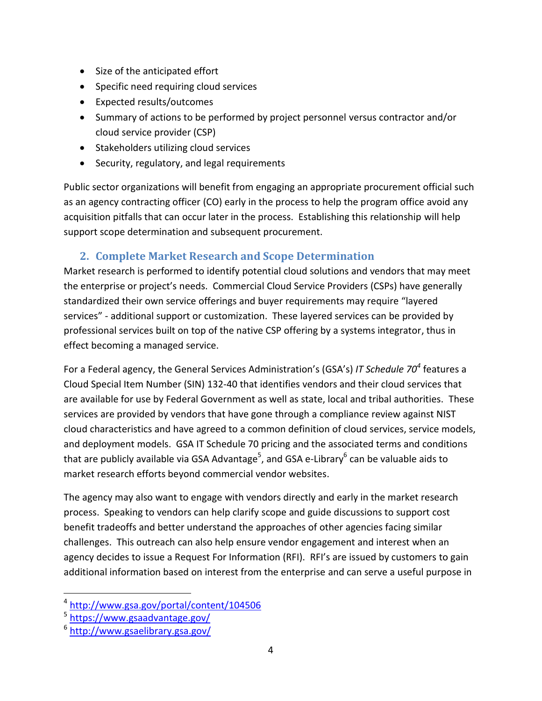- Size of the anticipated effort
- Specific need requiring cloud services
- Expected results/outcomes
- Summary of actions to be performed by project personnel versus contractor and/or cloud service provider (CSP)
- Stakeholders utilizing cloud services
- Security, regulatory, and legal requirements

Public sector organizations will benefit from engaging an appropriate procurement official such as an agency contracting officer (CO) early in the process to help the program office avoid any acquisition pitfalls that can occur later in the process. Establishing this relationship will help support scope determination and subsequent procurement.

#### **2. Complete Market Research and Scope Determination**

<span id="page-4-0"></span>Market research is performed to identify potential cloud solutions and vendors that may meet the enterprise or project's needs. Commercial Cloud Service Providers (CSPs) have generally standardized their own service offerings and buyer requirements may require "layered services" - additional support or customization. These layered services can be provided by professional services built on top of the native CSP offering by a systems integrator, thus in effect becoming a managed service.

For a Federal agency, the General Services Administration's (GSA's) *IT Schedule 70<sup>4</sup>* features a Cloud Special Item Number (SIN) 132-40 that identifies vendors and their cloud services that are available for use by Federal Government as well as state, local and tribal authorities. These services are provided by vendors that have gone through a compliance review against NIST cloud characteristics and have agreed to a common definition of cloud services, service models, and deployment models. GSA IT Schedule 70 pricing and the associated terms and conditions that are publicly available via GSA Advantage<sup>5</sup>, and GSA e-Library<sup>6</sup> can be valuable aids to market research efforts beyond commercial vendor websites.

The agency may also want to engage with vendors directly and early in the market research process. Speaking to vendors can help clarify scope and guide discussions to support cost benefit tradeoffs and better understand the approaches of other agencies facing similar challenges. This outreach can also help ensure vendor engagement and interest when an agency decides to issue a Request For Information (RFI). RFI's are issued by customers to gain additional information based on interest from the enterprise and can serve a useful purpose in

<sup>4</sup> <http://www.gsa.gov/portal/content/104506>

<sup>&</sup>lt;sup>5</sup> <https://www.gsaadvantage.gov/>

<sup>6</sup> <http://www.gsaelibrary.gsa.gov/>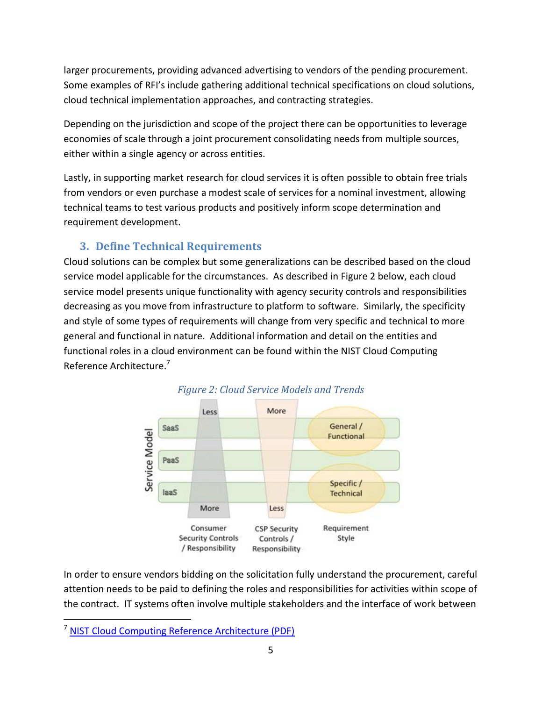larger procurements, providing advanced advertising to vendors of the pending procurement. Some examples of RFI's include gathering additional technical specifications on cloud solutions, cloud technical implementation approaches, and contracting strategies.

Depending on the jurisdiction and scope of the project there can be opportunities to leverage economies of scale through a joint procurement consolidating needs from multiple sources, either within a single agency or across entities.

Lastly, in supporting market research for cloud services it is often possible to obtain free trials from vendors or even purchase a modest scale of services for a nominal investment, allowing technical teams to test various products and positively inform scope determination and requirement development.

#### **3. Define Technical Requirements**

<span id="page-5-0"></span>Cloud solutions can be complex but some generalizations can be described based on the cloud service model applicable for the circumstances. As described in Figure 2 below, each cloud service model presents unique functionality with agency security controls and responsibilities decreasing as you move from infrastructure to platform to software. Similarly, the specificity and style of some types of requirements will change from very specific and technical to more general and functional in nature. Additional information and detail on the entities and functional roles in a cloud environment can be found within the NIST Cloud Computing Reference Architecture.<sup>7</sup>





In order to ensure vendors bidding on the solicitation fully understand the procurement, careful attention needs to be paid to defining the roles and responsibilities for activities within scope of the contract. IT systems often involve multiple stakeholders and the interface of work between

 $\overline{a}$ <sup>7</sup> [NIST Cloud Computing Reference Architecture \(PDF\)](http://www.nist.gov/customcf/get_pdf.cfm?pub_id=909505)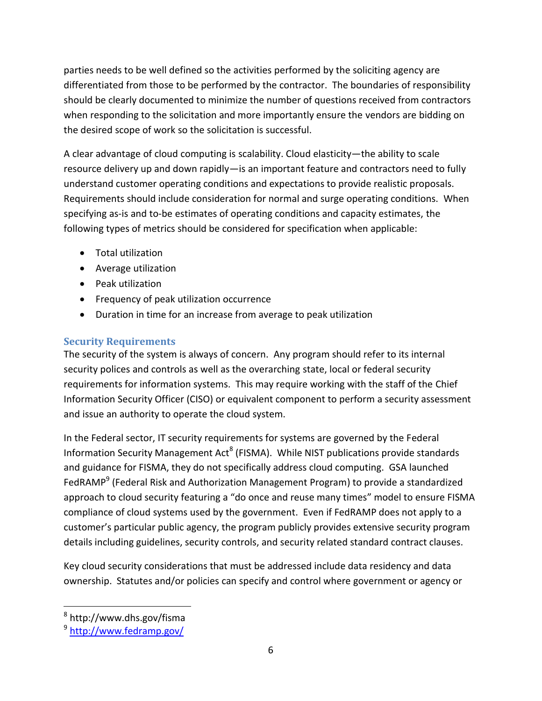parties needs to be well defined so the activities performed by the soliciting agency are differentiated from those to be performed by the contractor. The boundaries of responsibility should be clearly documented to minimize the number of questions received from contractors when responding to the solicitation and more importantly ensure the vendors are bidding on the desired scope of work so the solicitation is successful.

A clear advantage of cloud computing is scalability. Cloud elasticity—the ability to scale resource delivery up and down rapidly—is an important feature and contractors need to fully understand customer operating conditions and expectations to provide realistic proposals. Requirements should include consideration for normal and surge operating conditions. When specifying as-is and to-be estimates of operating conditions and capacity estimates, the following types of metrics should be considered for specification when applicable:

- Total utilization
- Average utilization
- Peak utilization
- Frequency of peak utilization occurrence
- Duration in time for an increase from average to peak utilization

#### <span id="page-6-0"></span>**Security Requirements**

The security of the system is always of concern. Any program should refer to its internal security polices and controls as well as the overarching state, local or federal security requirements for information systems. This may require working with the staff of the Chief Information Security Officer (CISO) or equivalent component to perform a security assessment and issue an authority to operate the cloud system.

In the Federal sector, IT security requirements for systems are governed by the Federal Information Security Management Act<sup>8</sup> (FISMA). While NIST publications provide standards and guidance for FISMA, they do not specifically address cloud computing. GSA launched FedRAMP<sup>9</sup> (Federal Risk and Authorization Management Program) to provide a standardized approach to cloud security featuring a "do once and reuse many times" model to ensure FISMA compliance of cloud systems used by the government. Even if FedRAMP does not apply to a customer's particular public agency, the program publicly provides extensive security program details including guidelines, security controls, and security related standard contract clauses.

Key cloud security considerations that must be addressed include data residency and data ownership. Statutes and/or policies can specify and control where government or agency or

<sup>&</sup>lt;sup>8</sup> http://www.dhs.gov/fisma

<sup>&</sup>lt;sup>9</sup> <http://www.fedramp.gov/>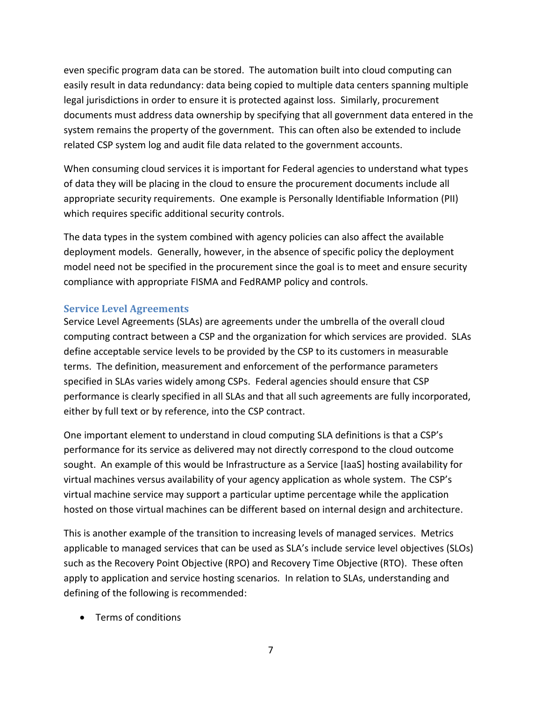even specific program data can be stored. The automation built into cloud computing can easily result in data redundancy: data being copied to multiple data centers spanning multiple legal jurisdictions in order to ensure it is protected against loss. Similarly, procurement documents must address data ownership by specifying that all government data entered in the system remains the property of the government. This can often also be extended to include related CSP system log and audit file data related to the government accounts.

When consuming cloud services it is important for Federal agencies to understand what types of data they will be placing in the cloud to ensure the procurement documents include all appropriate security requirements. One example is Personally Identifiable Information (PII) which requires specific additional security controls.

The data types in the system combined with agency policies can also affect the available deployment models. Generally, however, in the absence of specific policy the deployment model need not be specified in the procurement since the goal is to meet and ensure security compliance with appropriate FISMA and FedRAMP policy and controls.

#### <span id="page-7-0"></span>**Service Level Agreements**

Service Level Agreements (SLAs) are agreements under the umbrella of the overall cloud computing contract between a CSP and the organization for which services are provided. SLAs define acceptable service levels to be provided by the CSP to its customers in measurable terms. The definition, measurement and enforcement of the performance parameters specified in SLAs varies widely among CSPs. Federal agencies should ensure that CSP performance is clearly specified in all SLAs and that all such agreements are fully incorporated, either by full text or by reference, into the CSP contract.

One important element to understand in cloud computing SLA definitions is that a CSP's performance for its service as delivered may not directly correspond to the cloud outcome sought. An example of this would be Infrastructure as a Service [IaaS] hosting availability for virtual machines versus availability of your agency application as whole system. The CSP's virtual machine service may support a particular uptime percentage while the application hosted on those virtual machines can be different based on internal design and architecture.

This is another example of the transition to increasing levels of managed services. Metrics applicable to managed services that can be used as SLA's include service level objectives (SLOs) such as the Recovery Point Objective (RPO) and Recovery Time Objective (RTO). These often apply to application and service hosting scenarios. In relation to SLAs, understanding and defining of the following is recommended:

Terms of conditions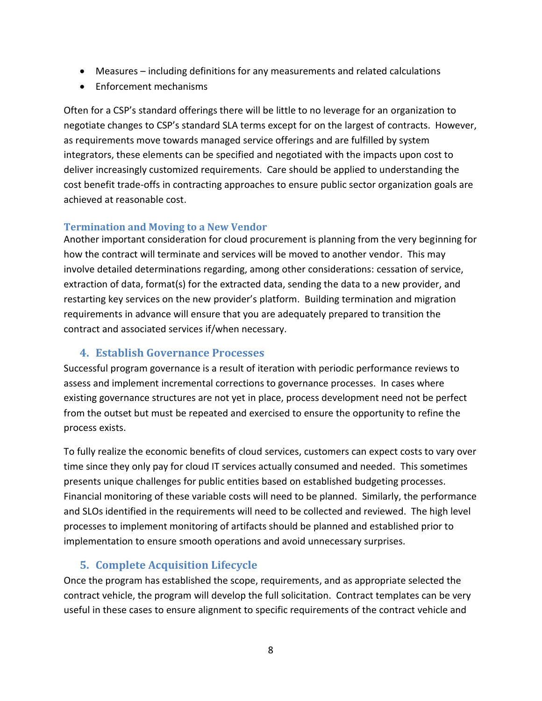- Measures including definitions for any measurements and related calculations
- Enforcement mechanisms

Often for a CSP's standard offerings there will be little to no leverage for an organization to negotiate changes to CSP's standard SLA terms except for on the largest of contracts. However, as requirements move towards managed service offerings and are fulfilled by system integrators, these elements can be specified and negotiated with the impacts upon cost to deliver increasingly customized requirements. Care should be applied to understanding the cost benefit trade-offs in contracting approaches to ensure public sector organization goals are achieved at reasonable cost.

#### <span id="page-8-0"></span>**Termination and Moving to a New Vendor**

Another important consideration for cloud procurement is planning from the very beginning for how the contract will terminate and services will be moved to another vendor. This may involve detailed determinations regarding, among other considerations: cessation of service, extraction of data, format(s) for the extracted data, sending the data to a new provider, and restarting key services on the new provider's platform. Building termination and migration requirements in advance will ensure that you are adequately prepared to transition the contract and associated services if/when necessary.

#### **4. Establish Governance Processes**

<span id="page-8-1"></span>Successful program governance is a result of iteration with periodic performance reviews to assess and implement incremental corrections to governance processes. In cases where existing governance structures are not yet in place, process development need not be perfect from the outset but must be repeated and exercised to ensure the opportunity to refine the process exists.

To fully realize the economic benefits of cloud services, customers can expect costs to vary over time since they only pay for cloud IT services actually consumed and needed. This sometimes presents unique challenges for public entities based on established budgeting processes. Financial monitoring of these variable costs will need to be planned. Similarly, the performance and SLOs identified in the requirements will need to be collected and reviewed. The high level processes to implement monitoring of artifacts should be planned and established prior to implementation to ensure smooth operations and avoid unnecessary surprises.

#### **5. Complete Acquisition Lifecycle**

<span id="page-8-2"></span>Once the program has established the scope, requirements, and as appropriate selected the contract vehicle, the program will develop the full solicitation. Contract templates can be very useful in these cases to ensure alignment to specific requirements of the contract vehicle and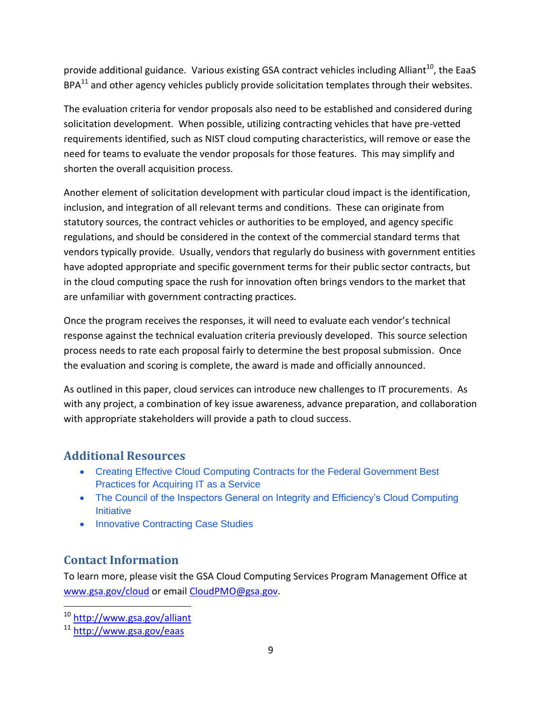provide additional guidance. Various existing GSA contract vehicles including Alliant<sup>10</sup>, the EaaS  $BPA^{11}$  and other agency vehicles publicly provide solicitation templates through their websites.

The evaluation criteria for vendor proposals also need to be established and considered during solicitation development. When possible, utilizing contracting vehicles that have pre-vetted requirements identified, such as NIST cloud computing characteristics, will remove or ease the need for teams to evaluate the vendor proposals for those features. This may simplify and shorten the overall acquisition process.

Another element of solicitation development with particular cloud impact is the identification, inclusion, and integration of all relevant terms and conditions. These can originate from statutory sources, the contract vehicles or authorities to be employed, and agency specific regulations, and should be considered in the context of the commercial standard terms that vendors typically provide. Usually, vendors that regularly do business with government entities have adopted appropriate and specific government terms for their public sector contracts, but in the cloud computing space the rush for innovation often brings vendors to the market that are unfamiliar with government contracting practices.

Once the program receives the responses, it will need to evaluate each vendor's technical response against the technical evaluation criteria previously developed. This source selection process needs to rate each proposal fairly to determine the best proposal submission. Once the evaluation and scoring is complete, the award is made and officially announced.

As outlined in this paper, cloud services can introduce new challenges to IT procurements. As with any project, a combination of key issue awareness, advance preparation, and collaboration with appropriate stakeholders will provide a path to cloud success.

## <span id="page-9-0"></span>**Additional Resources**

- [Creating Effective Cloud Computing Contracts for the Federal Government Best](https://cio.gov/wp-content/uploads/downloads/2012/09/cloudbestpractices.pdf)  [Practices for Acquiring IT as a Service](https://cio.gov/wp-content/uploads/downloads/2012/09/cloudbestpractices.pdf)
- The Council of the Inspectors General on Integrity and Efficiency's Cloud Computing **[Initiative](https://www.ignet.gov/sites/default/files/files/Cloud%20Computing%20Initiative%20Report(1)(1).pdf)**
- [Innovative Contracting Case Studies](https://www.whitehouse.gov/sites/default/files/microsites/ostp/innovative_contracting_case_studies_2014_-_august.pdf)

## **Contact Information**

To learn more, please visit the GSA Cloud Computing Services Program Management Office at [www.gsa.gov/cloud](http://www.gsa.gov/cloud) or email [CloudPMO@gsa.gov.](mailto:CloudPMO@gsa.gov)

<sup>10</sup> <http://www.gsa.gov/alliant>

<sup>11</sup> <http://www.gsa.gov/eaas>